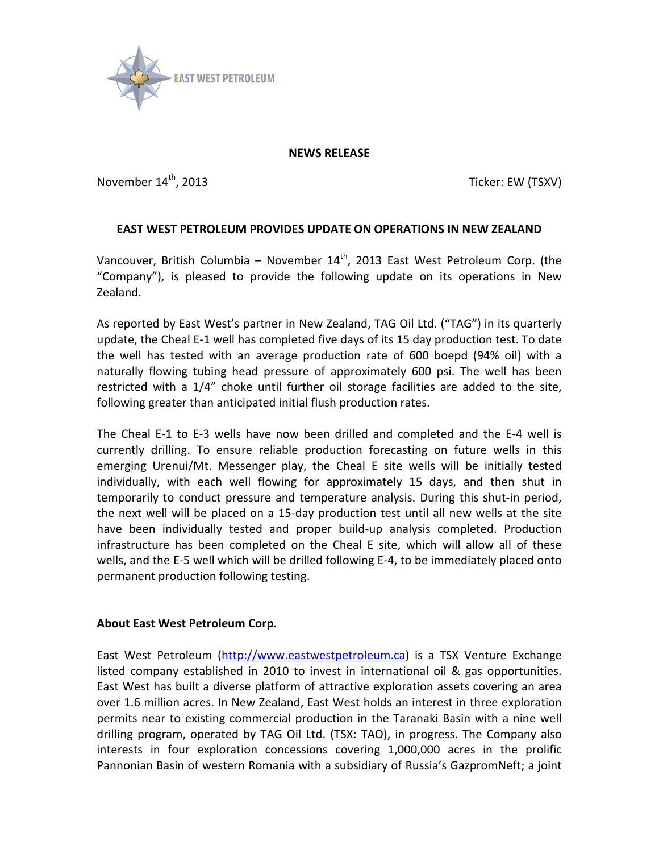

## **NEWS RELEASE**

November  $14^{\text{th}}$ , 2013  $\blacksquare$ 

## **EAST WEST PETROLEUM PROVIDES UPDATE ON OPERATIONS IN NEW ZEALAND**

Vancouver, British Columbia – November  $14<sup>th</sup>$ , 2013 East West Petroleum Corp. (the "Company"), is pleased to provide the following update on its operations in New Zealand.

As reported by East West's partner in New Zealand, TAG Oil Ltd. ("TAG") in its quarterly update, the Cheal E-1 well has completed five days of its 15 day production test. To date the well has tested with an average production rate of 600 boepd (94% oil) with a naturally flowing tubing head pressure of approximately 600 psi. The well has been restricted with a 1/4" choke until further oil storage facilities are added to the site, following greater than anticipated initial flush production rates.

The Cheal E-1 to E-3 wells have now been drilled and completed and the E-4 well is currently drilling. To ensure reliable production forecasting on future wells in this emerging Urenui/Mt. Messenger play, the Cheal E site wells will be initially tested individually, with each well flowing for approximately 15 days, and then shut in temporarily to conduct pressure and temperature analysis. During this shut-in period, the next well will be placed on a 15-day production test until all new wells at the site have been individually tested and proper build-up analysis completed. Production infrastructure has been completed on the Cheal E site, which will allow all of these wells, and the E-5 well which will be drilled following E-4, to be immediately placed onto permanent production following testing.

## **About East West Petroleum Corp.**

East West Petroleum [\(http://www.eastwestpetroleum.ca\)](http://www.eastwestpetroleum.ca/) is a TSX Venture Exchange listed company established in 2010 to invest in international oil & gas opportunities. East West has built a diverse platform of attractive exploration assets covering an area over 1.6 million acres. In New Zealand, East West holds an interest in three exploration permits near to existing commercial production in the Taranaki Basin with a nine well drilling program, operated by TAG Oil Ltd. (TSX: TAO), in progress. The Company also interests in four exploration concessions covering 1,000,000 acres in the prolific Pannonian Basin of western Romania with a subsidiary of Russia's GazpromNeft; a joint